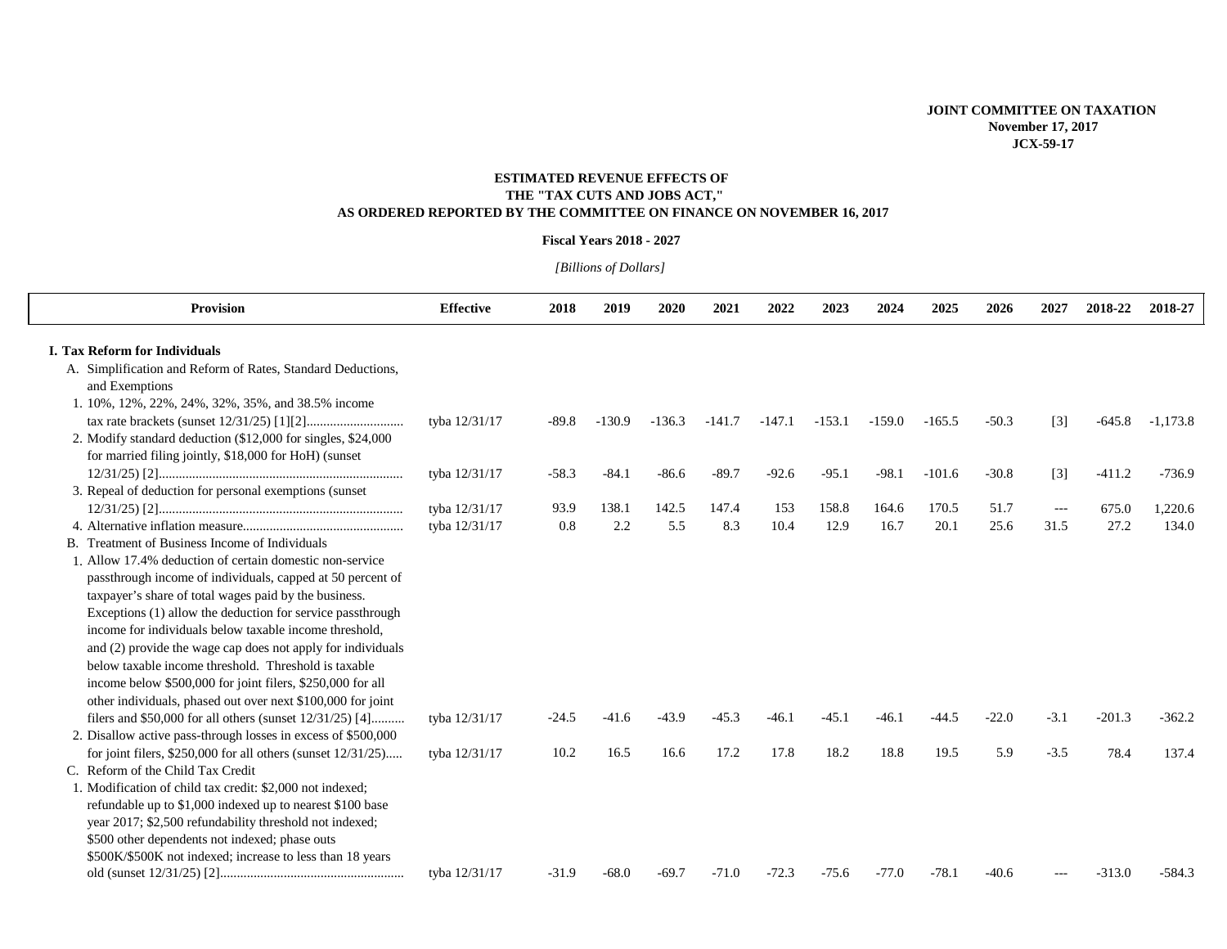### **ESTIMATED REVENUE EFFECTS OF THE "TAX CUTS AND JOBS ACT," AS ORDERED REPORTED BY THE COMMITTEE ON FINANCE ON NOVEMBER 16, 2017**

#### **Fiscal Years 2018 - 2027**

# *[Billions of Dollars]*

| <b>Provision</b>                                                 | <b>Effective</b> |         | 2019     | 2020     |          |          |          | 2024     | 2025     | 2026    | 2027   | 2018-22  | 2018-27    |
|------------------------------------------------------------------|------------------|---------|----------|----------|----------|----------|----------|----------|----------|---------|--------|----------|------------|
|                                                                  |                  | 2018    |          |          | 2021     | 2022     | 2023     |          |          |         |        |          |            |
| <b>I. Tax Reform for Individuals</b>                             |                  |         |          |          |          |          |          |          |          |         |        |          |            |
| A. Simplification and Reform of Rates, Standard Deductions,      |                  |         |          |          |          |          |          |          |          |         |        |          |            |
| and Exemptions                                                   |                  |         |          |          |          |          |          |          |          |         |        |          |            |
| 1. 10%, 12%, 22%, 24%, 32%, 35%, and 38.5% income                |                  |         |          |          |          |          |          |          |          |         |        |          |            |
|                                                                  | tyba 12/31/17    | $-89.8$ | $-130.9$ | $-136.3$ | $-141.7$ | $-147.1$ | $-153.1$ | $-159.0$ | $-165.5$ | $-50.3$ | $[3]$  | $-645.8$ | $-1,173.8$ |
| 2. Modify standard deduction (\$12,000 for singles, \$24,000)    |                  |         |          |          |          |          |          |          |          |         |        |          |            |
| for married filing jointly, \$18,000 for HoH) (sunset            |                  |         |          |          |          |          |          |          |          |         |        |          |            |
|                                                                  | tyba 12/31/17    | $-58.3$ | $-84.1$  | $-86.6$  | $-89.7$  | $-92.6$  | $-95.1$  | $-98.1$  | $-101.6$ | $-30.8$ | $[3]$  | $-411.2$ | $-736.9$   |
| 3. Repeal of deduction for personal exemptions (sunset           |                  |         |          |          |          |          |          |          |          |         |        |          |            |
|                                                                  | tyba 12/31/17    | 93.9    | 138.1    | 142.5    | 147.4    | 153      | 158.8    | 164.6    | 170.5    | 51.7    | $---$  | 675.0    | 1,220.6    |
|                                                                  | tyba 12/31/17    | 0.8     | 2.2      | 5.5      | 8.3      | 10.4     | 12.9     | 16.7     | 20.1     | 25.6    | 31.5   | 27.2     | 134.0      |
| B. Treatment of Business Income of Individuals                   |                  |         |          |          |          |          |          |          |          |         |        |          |            |
| 1. Allow 17.4% deduction of certain domestic non-service         |                  |         |          |          |          |          |          |          |          |         |        |          |            |
| passthrough income of individuals, capped at 50 percent of       |                  |         |          |          |          |          |          |          |          |         |        |          |            |
| taxpayer's share of total wages paid by the business.            |                  |         |          |          |          |          |          |          |          |         |        |          |            |
| Exceptions (1) allow the deduction for service passthrough       |                  |         |          |          |          |          |          |          |          |         |        |          |            |
| income for individuals below taxable income threshold.           |                  |         |          |          |          |          |          |          |          |         |        |          |            |
| and (2) provide the wage cap does not apply for individuals      |                  |         |          |          |          |          |          |          |          |         |        |          |            |
| below taxable income threshold. Threshold is taxable             |                  |         |          |          |          |          |          |          |          |         |        |          |            |
| income below \$500,000 for joint filers, \$250,000 for all       |                  |         |          |          |          |          |          |          |          |         |        |          |            |
| other individuals, phased out over next \$100,000 for joint      |                  |         |          |          |          |          |          |          |          |         |        |          |            |
| filers and \$50,000 for all others (sunset $12/31/25$ ) [4]      | tyba 12/31/17    | $-24.5$ | $-41.6$  | $-43.9$  | $-45.3$  | $-46.1$  | $-45.1$  | $-46.1$  | $-44.5$  | $-22.0$ | $-3.1$ | $-201.3$ | $-362.2$   |
| 2. Disallow active pass-through losses in excess of \$500,000    |                  |         |          |          |          |          |          |          |          |         |        |          |            |
| for joint filers, $$250,000$ for all others (sunset $12/31/25$ ) | tyba 12/31/17    | 10.2    | 16.5     | 16.6     | 17.2     | 17.8     | 18.2     | 18.8     | 19.5     | 5.9     | $-3.5$ | 78.4     | 137.4      |
| C. Reform of the Child Tax Credit                                |                  |         |          |          |          |          |          |          |          |         |        |          |            |
| 1. Modification of child tax credit: \$2,000 not indexed:        |                  |         |          |          |          |          |          |          |          |         |        |          |            |
| refundable up to \$1,000 indexed up to nearest \$100 base        |                  |         |          |          |          |          |          |          |          |         |        |          |            |
| year 2017; \$2,500 refundability threshold not indexed;          |                  |         |          |          |          |          |          |          |          |         |        |          |            |
| \$500 other dependents not indexed; phase outs                   |                  |         |          |          |          |          |          |          |          |         |        |          |            |
| \$500K/\$500K not indexed; increase to less than 18 years        |                  |         |          |          |          |          |          |          |          |         |        |          |            |
|                                                                  | tyba 12/31/17    | $-31.9$ | $-68.0$  | $-69.7$  | $-71.0$  | $-72.3$  | $-75.6$  | $-77.0$  | $-78.1$  | $-40.6$ |        | $-313.0$ | $-584.3$   |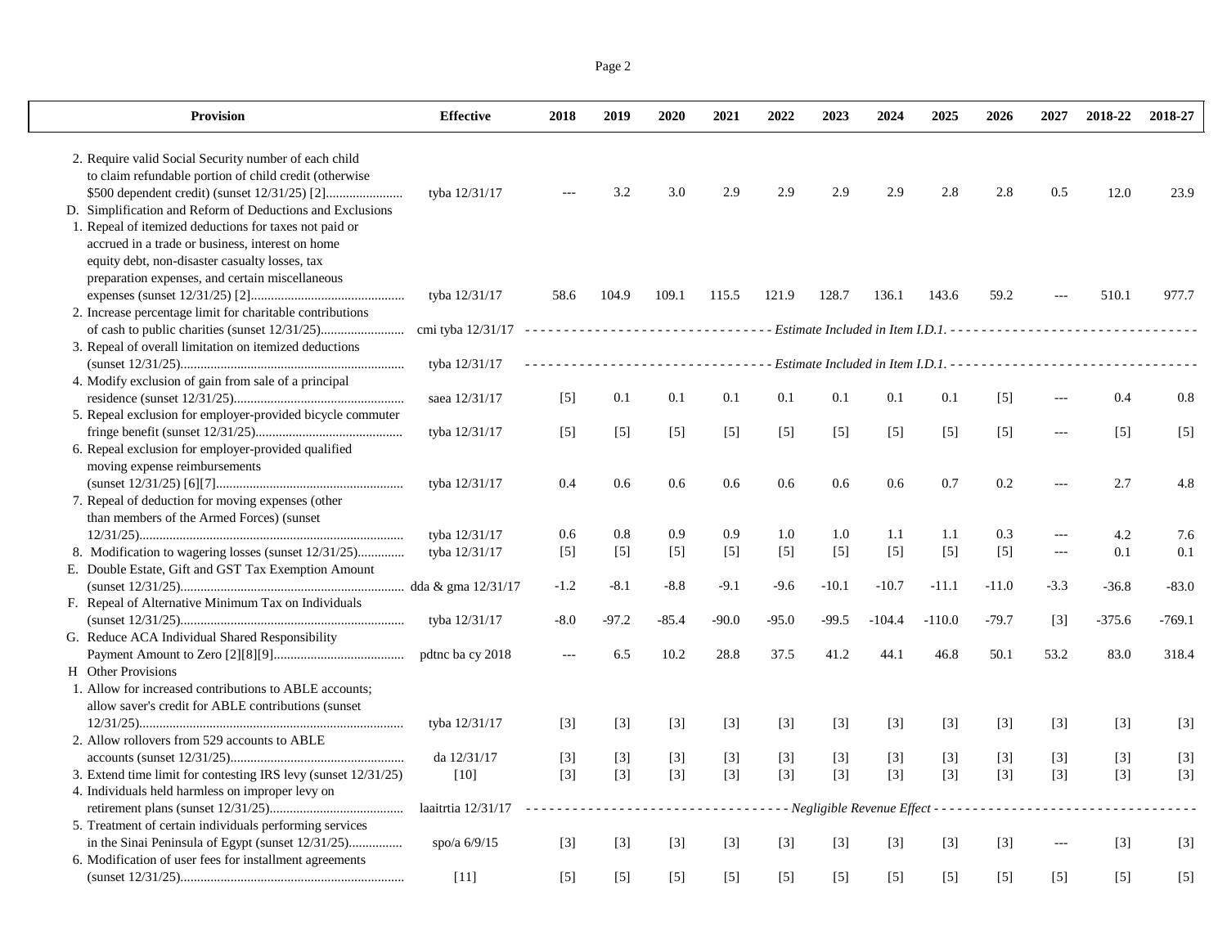Page 2

| <b>Provision</b>                                                                                                                                                                                                | <b>Effective</b>   | 2018              | 2019                        | 2020                    | 2021    | 2022    | 2023    | 2024     | 2025                                                             | 2026              | 2027              | 2018-22           | 2018-27  |
|-----------------------------------------------------------------------------------------------------------------------------------------------------------------------------------------------------------------|--------------------|-------------------|-----------------------------|-------------------------|---------|---------|---------|----------|------------------------------------------------------------------|-------------------|-------------------|-------------------|----------|
| 2. Require valid Social Security number of each child<br>to claim refundable portion of child credit (otherwise<br>D. Simplification and Reform of Deductions and Exclusions                                    | tyba 12/31/17      |                   | 3.2                         | 3.0                     | 2.9     | 2.9     | 2.9     | 2.9      | 2.8                                                              | 2.8               | 0.5               | 12.0              | 23.9     |
| 1. Repeal of itemized deductions for taxes not paid or<br>accrued in a trade or business, interest on home<br>equity debt, non-disaster casualty losses, tax<br>preparation expenses, and certain miscellaneous | tyba 12/31/17      | 58.6              | 104.9                       | 109.1                   | 115.5   | 121.9   | 128.7   | 136.1    | 143.6                                                            | 59.2              |                   | 510.1             | 977.7    |
| 2. Increase percentage limit for charitable contributions                                                                                                                                                       |                    |                   |                             |                         |         |         |         |          |                                                                  |                   |                   |                   |          |
| 3. Repeal of overall limitation on itemized deductions                                                                                                                                                          |                    |                   |                             |                         |         |         |         |          |                                                                  |                   |                   |                   |          |
|                                                                                                                                                                                                                 | tyba 12/31/17      |                   |                             |                         |         |         |         |          | Estimate Included in Item I.D.1. - - - - - - - - - - - - - - - - |                   |                   |                   |          |
| 4. Modify exclusion of gain from sale of a principal                                                                                                                                                            |                    |                   |                             |                         |         |         |         |          |                                                                  |                   |                   |                   |          |
|                                                                                                                                                                                                                 | saea 12/31/17      | $\lceil 5 \rceil$ | 0.1                         | 0.1                     | 0.1     | 0.1     | 0.1     | 0.1      | 0.1                                                              | $\lceil 5 \rceil$ | $-$               | 0.4               | 0.8      |
| 5. Repeal exclusion for employer-provided bicycle commuter                                                                                                                                                      |                    |                   |                             |                         |         |         |         |          |                                                                  |                   |                   |                   |          |
|                                                                                                                                                                                                                 | tyba 12/31/17      | $[5]$             | $[5]$                       | $[5]$                   | $[5]$   | $[5]$   | $[5]$   | $[5]$    | $[5]$                                                            | $[5]$             | ---               | $\lceil 5 \rceil$ | $[5]$    |
| 6. Repeal exclusion for employer-provided qualified                                                                                                                                                             |                    |                   |                             |                         |         |         |         |          |                                                                  |                   |                   |                   |          |
| moving expense reimbursements                                                                                                                                                                                   |                    |                   |                             |                         |         |         |         |          |                                                                  |                   |                   |                   |          |
|                                                                                                                                                                                                                 | tyba 12/31/17      | 0.4               | 0.6                         | 0.6                     | 0.6     | 0.6     | 0.6     | 0.6      | 0.7                                                              | 0.2               | $\overline{a}$    | 2.7               | 4.8      |
| 7. Repeal of deduction for moving expenses (other                                                                                                                                                               |                    |                   |                             |                         |         |         |         |          |                                                                  |                   |                   |                   |          |
| than members of the Armed Forces) (sunset                                                                                                                                                                       |                    |                   |                             |                         |         |         |         |          |                                                                  |                   |                   |                   |          |
|                                                                                                                                                                                                                 | tyba 12/31/17      | 0.6               | 0.8                         | 0.9                     | 0.9     | 1.0     | 1.0     | 1.1      | 1.1                                                              | 0.3               | ---               | 4.2               | 7.6      |
| 8. Modification to wagering losses (sunset 12/31/25)<br>E. Double Estate, Gift and GST Tax Exemption Amount                                                                                                     | tyba 12/31/17      | $[5]$             | $[5]$                       | $[5]$                   | $[5]$   | $[5]$   | $[5]$   | $[5]$    | $[5]$                                                            | $[5]$             | $---$             | 0.1               | 0.1      |
|                                                                                                                                                                                                                 |                    | $-1.2$            | $-8.1$                      | $-8.8$                  | $-9.1$  | -9.6    | $-10.1$ | $-10.7$  | $-11.1$                                                          | $-11.0$           | $-3.3$            | $-36.8$           | $-83.0$  |
| F. Repeal of Alternative Minimum Tax on Individuals                                                                                                                                                             |                    |                   |                             |                         |         |         |         |          |                                                                  |                   |                   |                   |          |
|                                                                                                                                                                                                                 | tyba 12/31/17      | $-8.0$            | $-97.2$                     | $-85.4$                 | $-90.0$ | $-95.0$ | $-99.5$ | $-104.4$ | $-110.0$                                                         | $-79.7$           | $\lceil 3 \rceil$ | $-375.6$          | $-769.1$ |
| G. Reduce ACA Individual Shared Responsibility                                                                                                                                                                  |                    |                   |                             |                         |         |         |         |          |                                                                  |                   |                   |                   |          |
|                                                                                                                                                                                                                 | pdtnc ba cy 2018   | $---$             | 6.5                         | 10.2                    | 28.8    | 37.5    | 41.2    | 44.1     | 46.8                                                             | 50.1              | 53.2              | 83.0              | 318.4    |
| H Other Provisions                                                                                                                                                                                              |                    |                   |                             |                         |         |         |         |          |                                                                  |                   |                   |                   |          |
| 1. Allow for increased contributions to ABLE accounts;                                                                                                                                                          |                    |                   |                             |                         |         |         |         |          |                                                                  |                   |                   |                   |          |
| allow saver's credit for ABLE contributions (sunset                                                                                                                                                             |                    |                   |                             |                         |         |         |         |          |                                                                  |                   |                   |                   |          |
|                                                                                                                                                                                                                 | tyba 12/31/17      | $[3]$             | $[3]$                       | $\lceil 3 \rceil$       | $[3]$   | $[3]$   | $[3]$   | $[3]$    | $[3]$                                                            | $[3]$             | $[3]$             | $[3]$             | $[3]$    |
| 2. Allow rollovers from 529 accounts to ABLE                                                                                                                                                                    |                    |                   |                             |                         |         |         |         |          |                                                                  |                   |                   |                   |          |
|                                                                                                                                                                                                                 | da 12/31/17        | $[3]$             | $[3]$                       | $[3]$                   | $[3]$   | $[3]$   | $[3]$   | $[3]$    | $[3]$                                                            | $[3]$             | $[3]$             | $[3]$             | $[3]$    |
| 3. Extend time limit for contesting IRS levy (sunset 12/31/25)                                                                                                                                                  | [10]               | $[3]$             | $[3]$                       | $[3]$                   | $[3]$   | $[3]$   | $[3]$   | $[3]$    | $[3]$                                                            | $[3]$             | $[3]$             | $[3]$             | $[3]$    |
| 4. Individuals held harmless on improper levy on                                                                                                                                                                |                    |                   |                             |                         |         |         |         |          |                                                                  |                   |                   |                   |          |
|                                                                                                                                                                                                                 | laaitrtia 12/31/17 | a a a a a         | $\sim$ $\sim$ $\sim$ $\sim$ | $\omega$ is $\omega$ in | .       |         |         |          | - - Negligible Revenue Effect - - - - - - - - - - - -            |                   |                   |                   |          |
| 5. Treatment of certain individuals performing services<br>in the Sinai Peninsula of Egypt (sunset 12/31/25)                                                                                                    | spo/a $6/9/15$     |                   |                             |                         |         |         |         |          |                                                                  |                   | ---               | $[3]$             |          |
| 6. Modification of user fees for installment agreements                                                                                                                                                         |                    | $[3]$             | $[3]$                       | $[3]$                   | $[3]$   | $[3]$   | $[3]$   | $[3]$    | $[3]$                                                            | $[3]$             |                   |                   | $[3]$    |
|                                                                                                                                                                                                                 | $[11]$             | $[5]$             | $\lceil 5 \rceil$           | $[5]$                   | $[5]$   | $[5]$   | $[5]$   | $[5]$    | $[5]$                                                            | $[5]$             | $[5]$             | $[5]$             | $[5]$    |
|                                                                                                                                                                                                                 |                    |                   |                             |                         |         |         |         |          |                                                                  |                   |                   |                   |          |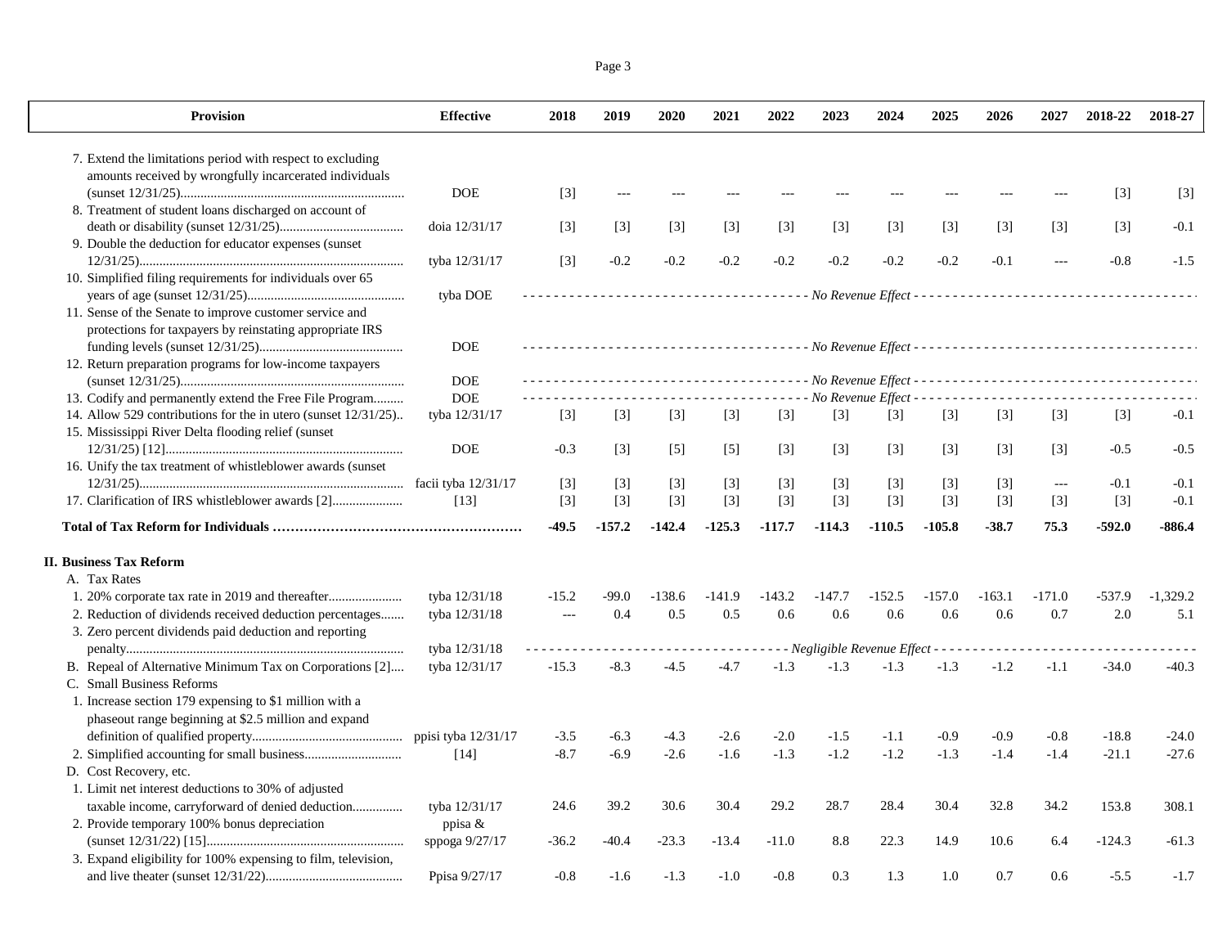| Page 3 |  |
|--------|--|
|        |  |

| <b>Provision</b>                                                                                                    | <b>Effective</b>      | 2018           | 2019     | 2020              | 2021     | 2022     | 2023              | 2024              | 2025     | 2026     | 2027          | 2018-22           | 2018-27    |
|---------------------------------------------------------------------------------------------------------------------|-----------------------|----------------|----------|-------------------|----------|----------|-------------------|-------------------|----------|----------|---------------|-------------------|------------|
| 7. Extend the limitations period with respect to excluding                                                          |                       |                |          |                   |          |          |                   |                   |          |          |               |                   |            |
| amounts received by wrongfully incarcerated individuals                                                             |                       |                |          |                   |          |          |                   |                   |          |          |               |                   |            |
|                                                                                                                     | <b>DOE</b>            | $[3]$          |          |                   |          |          |                   |                   |          |          |               | $\lceil 3 \rceil$ | $[3]$      |
| 8. Treatment of student loans discharged on account of                                                              |                       |                |          |                   |          |          |                   |                   |          |          |               |                   |            |
|                                                                                                                     | doia 12/31/17         | $[3]$          | $[3]$    | $\lceil 3 \rceil$ | $[3]$    | $[3]$    | $[3]$             | $[3]$             | $[3]$    | $[3]$    | $[3]$         | $\lceil 3 \rceil$ | $-0.1$     |
| 9. Double the deduction for educator expenses (sunset                                                               | tyba 12/31/17         | $[3]$          | $-0.2$   | $-0.2$            | $-0.2$   | $-0.2$   | $-0.2$            | $-0.2$            | $-0.2$   | $-0.1$   |               | $-0.8$            | $-1.5$     |
| 10. Simplified filing requirements for individuals over 65                                                          |                       |                |          |                   |          |          |                   |                   |          |          |               |                   |            |
|                                                                                                                     | tyba DOE              |                |          |                   |          |          |                   |                   |          |          |               |                   |            |
| 11. Sense of the Senate to improve customer service and<br>protections for taxpayers by reinstating appropriate IRS |                       |                |          |                   |          |          |                   |                   |          |          |               |                   |            |
|                                                                                                                     | <b>DOE</b>            |                |          |                   |          |          |                   |                   |          |          |               |                   |            |
| 12. Return preparation programs for low-income taxpayers                                                            |                       |                |          |                   |          |          |                   |                   |          |          |               |                   |            |
|                                                                                                                     | <b>DOE</b>            |                |          |                   |          |          |                   |                   |          |          |               |                   |            |
| 13. Codify and permanently extend the Free File Program                                                             | <b>DOE</b>            |                |          |                   |          |          |                   |                   |          |          |               |                   |            |
| 14. Allow 529 contributions for the in utero (sunset 12/31/25)                                                      | tyba 12/31/17         | $[3]$          | $[3]$    | $[3]$             | $[3]$    | $[3]$    | $\lceil 3 \rceil$ | $\lceil 3 \rceil$ | $[3]$    | $[3]$    | $[3]$         | $[3]$             | $-0.1$     |
| 15. Mississippi River Delta flooding relief (sunset)                                                                |                       |                |          |                   |          |          |                   |                   |          |          |               |                   |            |
|                                                                                                                     | <b>DOE</b>            | $-0.3$         | $[3]$    | $\lceil 5 \rceil$ | $[5]$    | $[3]$    | $[3]$             | $[3]$             | $[3]$    | $[3]$    | $[3]$         | $-0.5$            | $-0.5$     |
| 16. Unify the tax treatment of whistleblower awards (sunset)                                                        |                       |                |          |                   |          |          |                   |                   |          |          |               |                   |            |
|                                                                                                                     | facii tyba 12/31/17   | $[3]$          | $[3]$    | $[3]$             | $[3]$    | $[3]$    | $[3]$             | [3]               | $[3]$    | $[3]$    | $\sim$ $\sim$ | $-0.1$            | $-0.1$     |
| 17. Clarification of IRS whistleblower awards [2]                                                                   | [13]                  | $[3]$          | $[3]$    | $[3]$             | $[3]$    | $[3]$    | $[3]$             | $[3]$             | $[3]$    | $[3]$    | $[3]$         | $[3]$             | $-0.1$     |
|                                                                                                                     |                       | $-49.5$        | $-157.2$ | $-142.4$          | $-125.3$ | $-117.7$ | $-114.3$          | $-110.5$          | $-105.8$ | $-38.7$  | 75.3          | $-592.0$          | $-886.4$   |
| <b>II. Business Tax Reform</b>                                                                                      |                       |                |          |                   |          |          |                   |                   |          |          |               |                   |            |
| A. Tax Rates                                                                                                        |                       |                |          |                   |          |          |                   |                   |          |          |               |                   |            |
| 1. 20% corporate tax rate in 2019 and thereafter                                                                    | tyba 12/31/18         | $-15.2$        | $-99.0$  | $-138.6$          | $-141.9$ | $-143.2$ | $-147.7$          | $-152.5$          | $-157.0$ | $-163.1$ | $-171.0$      | $-537.9$          | $-1.329.2$ |
| 2. Reduction of dividends received deduction percentages                                                            | tyba 12/31/18         | $\overline{a}$ | 0.4      | 0.5               | 0.5      | 0.6      | 0.6               | 0.6               | 0.6      | 0.6      | 0.7           | 2.0               | 5.1        |
| 3. Zero percent dividends paid deduction and reporting                                                              |                       |                |          |                   |          |          |                   |                   |          |          |               |                   |            |
|                                                                                                                     | tyba 12/31/18         |                |          |                   |          |          |                   |                   |          |          |               |                   |            |
| B. Repeal of Alternative Minimum Tax on Corporations [2]                                                            | tyba 12/31/17         | $-15.3$        | $-8.3$   | $-4.5$            | $-4.7$   | $-1.3$   | $-1.3$            | $-1.3$            | $-1.3$   | $-1.2$   | $-1.1$        | $-34.0$           | $-40.3$    |
| C. Small Business Reforms                                                                                           |                       |                |          |                   |          |          |                   |                   |          |          |               |                   |            |
| 1. Increase section 179 expensing to \$1 million with a                                                             |                       |                |          |                   |          |          |                   |                   |          |          |               |                   |            |
| phaseout range beginning at \$2.5 million and expand                                                                |                       |                |          |                   |          |          |                   |                   |          |          |               |                   |            |
|                                                                                                                     | ppisi tyba $12/31/17$ | $-3.5$         | $-6.3$   | $-4.3$            | $-2.6$   | $-2.0$   | $-1.5$            | $-1.1$            | $-0.9$   | $-0.9$   | $-0.8$        | $-18.8$           | $-24.0$    |
|                                                                                                                     | $[14]$                | $-8.7$         | $-6.9$   | $-2.6$            | $-1.6$   | $-1.3$   | $-1.2$            | $-1.2$            | $-1.3$   | $-1.4$   | $-1.4$        | $-21.1$           | $-27.6$    |
| D. Cost Recovery, etc.                                                                                              |                       |                |          |                   |          |          |                   |                   |          |          |               |                   |            |
| 1. Limit net interest deductions to 30% of adjusted                                                                 |                       |                |          |                   |          |          |                   |                   |          |          |               |                   |            |
| taxable income, carryforward of denied deduction                                                                    | tyba 12/31/17         | 24.6           | 39.2     | 30.6              | 30.4     | 29.2     | 28.7              | 28.4              | 30.4     | 32.8     | 34.2          | 153.8             | 308.1      |
| 2. Provide temporary 100% bonus depreciation                                                                        | ppisa &               |                |          |                   |          |          |                   |                   |          |          |               |                   |            |
|                                                                                                                     | sppoga $9/27/17$      | $-36.2$        | $-40.4$  | $-23.3$           | $-13.4$  | $-11.0$  | 8.8               | 22.3              | 14.9     | 10.6     | 6.4           | $-124.3$          | $-61.3$    |
| 3. Expand eligibility for 100% expensing to film, television,                                                       |                       |                |          |                   |          |          |                   |                   |          |          |               |                   |            |
|                                                                                                                     | Ppisa 9/27/17         | $-0.8$         | $-1.6$   | $-1.3$            | $-1.0$   | $-0.8$   | 0.3               | 1.3               | 1.0      | 0.7      | 0.6           | $-5.5$            | $-1.7$     |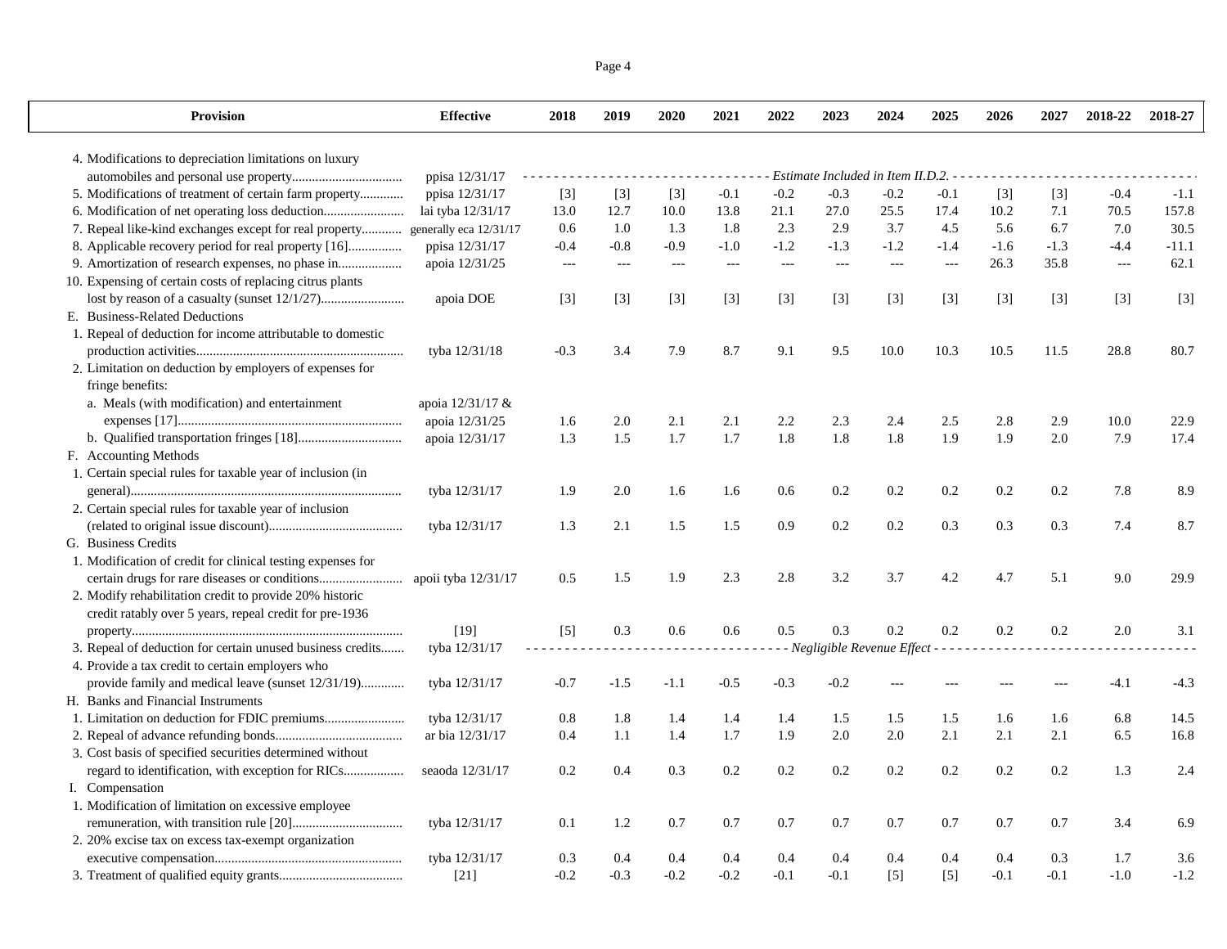| Page 4 |  |
|--------|--|
|        |  |

| <b>Provision</b>                                            | <b>Effective</b>       | 2018   | 2019   | 2020              | 2021   | 2022   | 2023   | 2024                                | 2025          | 2026   | 2027   | 2018-22 | 2018-27 |
|-------------------------------------------------------------|------------------------|--------|--------|-------------------|--------|--------|--------|-------------------------------------|---------------|--------|--------|---------|---------|
| 4. Modifications to depreciation limitations on luxury      |                        |        |        |                   |        |        |        |                                     |               |        |        |         |         |
|                                                             | ppisa 12/31/17         |        |        |                   |        |        |        | Estimate Included in Item II.D.2. - |               |        |        |         |         |
| 5. Modifications of treatment of certain farm property      | ppisa 12/31/17         | $[3]$  | $[3]$  | $[3]$             | $-0.1$ | $-0.2$ | $-0.3$ | $-0.2$                              | $-0.1$        | $[3]$  | $[3]$  | $-0.4$  | $-1.1$  |
| 6. Modification of net operating loss deduction             | lai tyba 12/31/17      | 13.0   | 12.7   | 10.0              | 13.8   | 21.1   | 27.0   | 25.5                                | 17.4          | 10.2   | 7.1    | 70.5    | 157.8   |
| 7. Repeal like-kind exchanges except for real property      | generally eca 12/31/17 | 0.6    | 1.0    | 1.3               | 1.8    | 2.3    | 2.9    | 3.7                                 | 4.5           | 5.6    | 6.7    | 7.0     | 30.5    |
| 8. Applicable recovery period for real property [16]        | ppisa 12/31/17         | $-0.4$ | $-0.8$ | $-0.9$            | $-1.0$ | $-1.2$ | $-1.3$ | $-1.2$                              | $-1.4$        | $-1.6$ | $-1.3$ | $-4.4$  | $-11.1$ |
| 9. Amortization of research expenses, no phase in           | apoia 12/31/25         | $---$  | $---$  | $\qquad \qquad -$ | $---$  | $-$    | $-$    | $---$                               | $\frac{1}{2}$ | 26.3   | 35.8   | $---$   | 62.1    |
| 10. Expensing of certain costs of replacing citrus plants   |                        |        |        |                   |        |        |        |                                     |               |        |        |         |         |
|                                                             | apoia DOE              | $[3]$  | $[3]$  | $[3]$             | $[3]$  | $[3]$  | $[3]$  | $[3]$                               | $[3]$         | $[3]$  | $[3]$  | $[3]$   | $[3]$   |
| E. Business-Related Deductions                              |                        |        |        |                   |        |        |        |                                     |               |        |        |         |         |
| 1. Repeal of deduction for income attributable to domestic  |                        |        |        |                   |        |        |        |                                     |               |        |        |         |         |
|                                                             | tyba 12/31/18          | $-0.3$ | 3.4    | 7.9               | 8.7    | 9.1    | 9.5    | 10.0                                | 10.3          | 10.5   | 11.5   | 28.8    | 80.7    |
| 2. Limitation on deduction by employers of expenses for     |                        |        |        |                   |        |        |        |                                     |               |        |        |         |         |
| fringe benefits:                                            |                        |        |        |                   |        |        |        |                                     |               |        |        |         |         |
| a. Meals (with modification) and entertainment              | apoia 12/31/17 &       |        |        |                   |        |        |        |                                     |               |        |        |         |         |
|                                                             | apoia 12/31/25         | 1.6    | 2.0    | 2.1               | 2.1    | 2.2    | 2.3    | 2.4                                 | 2.5           | 2.8    | 2.9    | 10.0    | 22.9    |
|                                                             | apoia 12/31/17         | 1.3    | 1.5    | 1.7               | 1.7    | 1.8    | 1.8    | 1.8                                 | 1.9           | 1.9    | 2.0    | 7.9     | 17.4    |
| F. Accounting Methods                                       |                        |        |        |                   |        |        |        |                                     |               |        |        |         |         |
| 1. Certain special rules for taxable year of inclusion (in  |                        |        |        |                   |        |        |        |                                     |               |        |        |         |         |
|                                                             | tyba 12/31/17          | 1.9    | 2.0    | 1.6               | 1.6    | 0.6    | 0.2    | 0.2                                 | 0.2           | 0.2    | 0.2    | 7.8     | 8.9     |
| 2. Certain special rules for taxable year of inclusion      |                        |        |        |                   |        |        |        |                                     |               |        |        |         |         |
|                                                             | tyba 12/31/17          | 1.3    | 2.1    | 1.5               | 1.5    | 0.9    | 0.2    | 0.2                                 | 0.3           | 0.3    | 0.3    | 7.4     | 8.7     |
| G. Business Credits                                         |                        |        |        |                   |        |        |        |                                     |               |        |        |         |         |
| 1. Modification of credit for clinical testing expenses for |                        |        |        |                   |        |        |        |                                     |               |        |        |         |         |
|                                                             | apoii tyba 12/31/17    | 0.5    | 1.5    | 1.9               | 2.3    | 2.8    | 3.2    | 3.7                                 | 4.2           | 4.7    | 5.1    | 9.0     | 29.9    |
| 2. Modify rehabilitation credit to provide 20% historic     |                        |        |        |                   |        |        |        |                                     |               |        |        |         |         |
| credit ratably over 5 years, repeal credit for pre-1936     |                        |        |        |                   |        |        |        |                                     |               |        |        |         |         |
|                                                             | $[19]$                 | $[5]$  | 0.3    | 0.6               | 0.6    | 0.5    | 0.3    | 0.2                                 | 0.2           | 0.2    | 0.2    | 2.0     | 3.1     |
| 3. Repeal of deduction for certain unused business credits  | tyba 12/31/17          |        |        |                   |        |        |        | - Negligible Revenue Effect - - - - |               |        |        |         |         |
| 4. Provide a tax credit to certain employers who            |                        |        |        |                   |        |        |        |                                     |               |        |        |         |         |
| provide family and medical leave (sunset 12/31/19)          | tyba 12/31/17          | $-0.7$ | $-1.5$ | $-1.1$            | $-0.5$ | $-0.3$ | $-0.2$ |                                     |               |        |        | $-4.1$  | $-4.3$  |
| H. Banks and Financial Instruments                          |                        |        |        |                   |        |        |        |                                     |               |        |        |         |         |
|                                                             | tyba 12/31/17          | 0.8    | 1.8    | 1.4               | 1.4    | 1.4    | 1.5    | 1.5                                 | 1.5           | 1.6    | 1.6    | 6.8     | 14.5    |
|                                                             | ar bia 12/31/17        | 0.4    | 1.1    | 1.4               | 1.7    | 1.9    | 2.0    | 2.0                                 | 2.1           | 2.1    | 2.1    | 6.5     | 16.8    |
| 3. Cost basis of specified securities determined without    |                        |        |        |                   |        |        |        |                                     |               |        |        |         |         |
| regard to identification, with exception for RICs           | seaoda 12/31/17        | 0.2    | 0.4    | 0.3               | 0.2    | 0.2    | 0.2    | 0.2                                 | 0.2           | 0.2    | 0.2    | 1.3     | 2.4     |
| I. Compensation                                             |                        |        |        |                   |        |        |        |                                     |               |        |        |         |         |
| 1. Modification of limitation on excessive employee         |                        |        |        |                   |        |        |        |                                     |               |        |        |         |         |
|                                                             | tyba 12/31/17          | 0.1    | 1.2    | 0.7               | 0.7    | 0.7    | 0.7    | 0.7                                 | 0.7           | 0.7    | 0.7    | 3.4     | 6.9     |
| 2. 20% excise tax on excess tax-exempt organization         |                        |        |        |                   |        |        |        |                                     |               |        |        |         |         |
|                                                             | tyba 12/31/17          | 0.3    | 0.4    | 0.4               | 0.4    | 0.4    | 0.4    | 0.4                                 | 0.4           | 0.4    | 0.3    | 1.7     | 3.6     |
|                                                             | $[21]$                 | $-0.2$ | $-0.3$ | $-0.2$            | $-0.2$ | $-0.1$ | $-0.1$ | $[5]$                               | $[5]$         | $-0.1$ | $-0.1$ | $-1.0$  | $-1.2$  |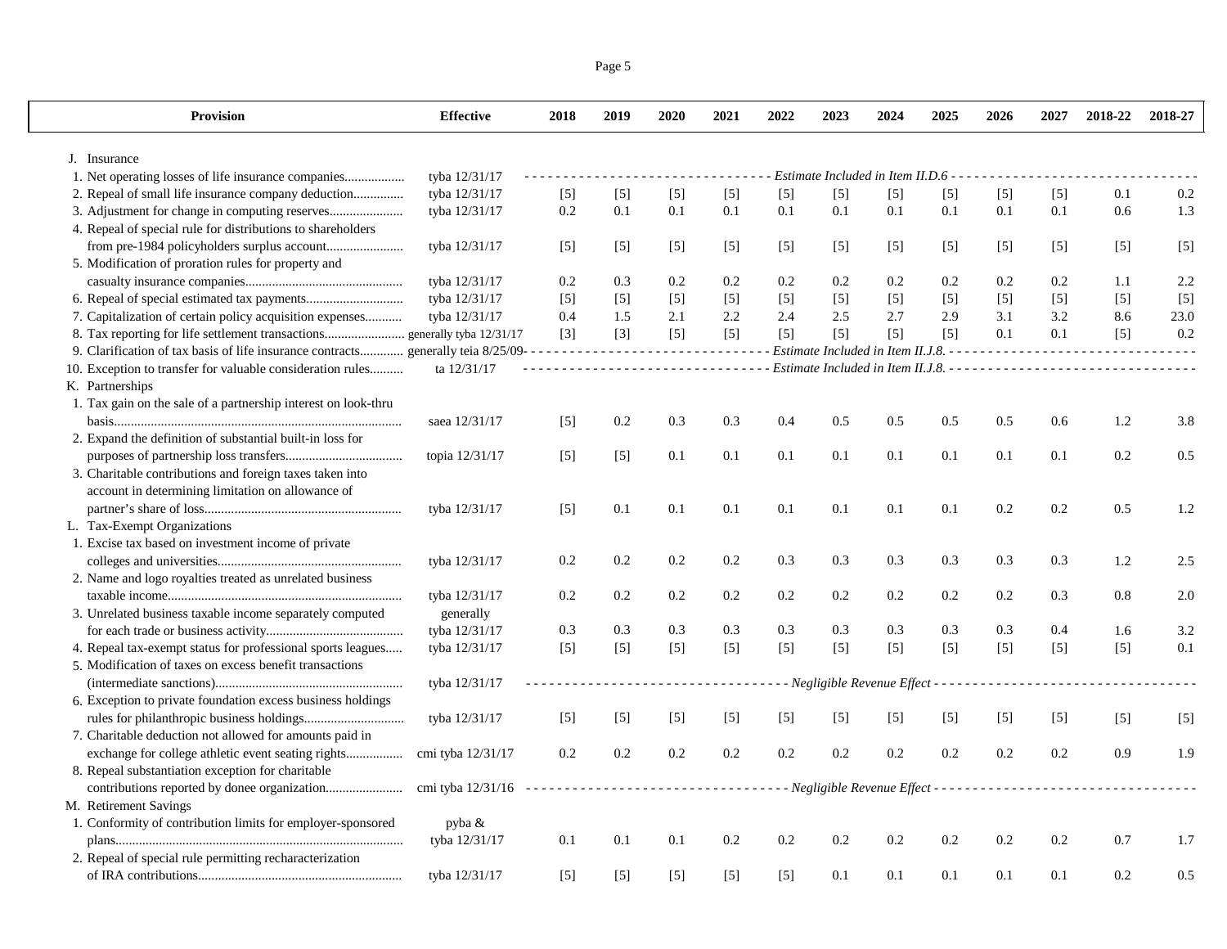|--|--|

| <b>Provision</b>                                                                  | <b>Effective</b>                     | 2018  | 2019  | 2020                        | 2021                                                                                              | 2022    | 2023                                                      | 2024  | 2025  | 2026    | 2027  | 2018-22 | 2018-27 |
|-----------------------------------------------------------------------------------|--------------------------------------|-------|-------|-----------------------------|---------------------------------------------------------------------------------------------------|---------|-----------------------------------------------------------|-------|-------|---------|-------|---------|---------|
| J. Insurance                                                                      |                                      |       |       |                             |                                                                                                   |         |                                                           |       |       |         |       |         |         |
|                                                                                   | tyba 12/31/17                        |       |       |                             |                                                                                                   |         | Estimate Included in Item II.D.6 -                        |       |       |         |       |         |         |
| 2. Repeal of small life insurance company deduction                               | tyba 12/31/17                        | $[5]$ | $[5]$ | $[5]$                       | $[5]$                                                                                             | $[5]$   | $[5]$                                                     | $[5]$ | $[5]$ | $[5]$   | $[5]$ | 0.1     | $0.2\,$ |
|                                                                                   | tyba 12/31/17                        | 0.2   | 0.1   | 0.1                         | 0.1                                                                                               | 0.1     | 0.1                                                       | 0.1   | 0.1   | 0.1     | 0.1   | 0.6     | 1.3     |
| 4. Repeal of special rule for distributions to shareholders                       |                                      |       |       |                             |                                                                                                   |         |                                                           |       |       |         |       |         |         |
|                                                                                   | tyba 12/31/17                        | $[5]$ | $[5]$ | $[5]$                       | $[5]$                                                                                             | $[5]$   | $[5]$                                                     | $[5]$ | $[5]$ | $[5]$   | $[5]$ | $[5]$   | $[5]$   |
| 5. Modification of proration rules for property and                               |                                      |       |       |                             |                                                                                                   |         |                                                           |       |       |         |       |         |         |
|                                                                                   | tyba 12/31/17                        | 0.2   | 0.3   | 0.2                         | 0.2                                                                                               | 0.2     | 0.2                                                       | 0.2   | 0.2   | 0.2     | 0.2   | 1.1     | 2.2     |
|                                                                                   | tyba 12/31/17                        | $[5]$ | $[5]$ | $[5]$                       | $[5]$                                                                                             | $[5]$   | $[5]$                                                     | $[5]$ | $[5]$ | $[5]$   | $[5]$ | $[5]$   | $[5]$   |
| 7. Capitalization of certain policy acquisition expenses                          | tyba 12/31/17                        | 0.4   | 1.5   | 2.1                         | 2.2                                                                                               | 2.4     | 2.5                                                       | 2.7   | 2.9   | 3.1     | 3.2   | 8.6     | 23.0    |
| 8. Tax reporting for life settlement transactions generally tyba 12/31/17         |                                      | $[3]$ | $[3]$ | $[5]$                       | $[5]$                                                                                             | $[5]$   | $[5]$                                                     | $[5]$ | $[5]$ | 0.1     | 0.1   | $[5]$   | 0.2     |
| 9. Clarification of tax basis of life insurance contracts generally teia 8/25/09- |                                      | .     |       | $\sim$ $\sim$ $\sim$ $\sim$ | $\frac{1}{2}$                                                                                     |         | Estimate Included in Item II.J.8. - -                     |       |       |         |       |         |         |
| 10. Exception to transfer for valuable consideration rules                        | ta 12/31/17                          |       |       |                             | $\begin{array}{cccccccccccccc} \bot & \bot & \bot & \bot & \bot & \bot & \bot & \bot \end{array}$ |         |                                                           |       |       |         |       |         |         |
| K. Partnerships                                                                   |                                      |       |       |                             |                                                                                                   |         |                                                           |       |       |         |       |         |         |
| 1. Tax gain on the sale of a partnership interest on look-thru                    |                                      |       |       |                             |                                                                                                   |         |                                                           |       |       |         |       |         |         |
|                                                                                   | saea 12/31/17                        | $[5]$ | 0.2   | 0.3                         | 0.3                                                                                               | 0.4     | 0.5                                                       | 0.5   | 0.5   | 0.5     | 0.6   | 1.2     | 3.8     |
| 2. Expand the definition of substantial built-in loss for                         |                                      |       |       |                             |                                                                                                   |         |                                                           |       |       |         |       |         |         |
|                                                                                   | topia 12/31/17                       | $[5]$ | $[5]$ | 0.1                         | 0.1                                                                                               | 0.1     | 0.1                                                       | 0.1   | 0.1   | 0.1     | 0.1   | 0.2     | 0.5     |
| 3. Charitable contributions and foreign taxes taken into                          |                                      |       |       |                             |                                                                                                   |         |                                                           |       |       |         |       |         |         |
| account in determining limitation on allowance of                                 |                                      |       |       |                             |                                                                                                   |         |                                                           |       |       |         |       |         |         |
|                                                                                   | tyba 12/31/17                        | $[5]$ | 0.1   | 0.1                         | 0.1                                                                                               | 0.1     | 0.1                                                       | 0.1   | 0.1   | 0.2     | 0.2   | 0.5     | 1.2     |
| L. Tax-Exempt Organizations                                                       |                                      |       |       |                             |                                                                                                   |         |                                                           |       |       |         |       |         |         |
| 1. Excise tax based on investment income of private                               |                                      |       |       |                             |                                                                                                   |         |                                                           |       |       |         |       |         |         |
|                                                                                   | tyba 12/31/17                        | 0.2   | 0.2   | 0.2                         | 0.2                                                                                               | 0.3     | 0.3                                                       | 0.3   | 0.3   | 0.3     | 0.3   | 1.2     | 2.5     |
| 2. Name and logo royalties treated as unrelated business                          |                                      |       |       |                             |                                                                                                   |         |                                                           |       |       |         |       |         |         |
|                                                                                   | tyba 12/31/17                        | 0.2   | 0.2   | 0.2                         | 0.2                                                                                               | 0.2     | 0.2                                                       | 0.2   | 0.2   | $0.2\,$ | 0.3   | 0.8     | 2.0     |
| 3. Unrelated business taxable income separately computed                          | generally                            |       |       |                             |                                                                                                   |         |                                                           |       |       |         |       |         |         |
|                                                                                   | tyba 12/31/17                        | 0.3   | 0.3   | 0.3                         | 0.3                                                                                               | 0.3     | 0.3                                                       | 0.3   | 0.3   | 0.3     | 0.4   | 1.6     | 3.2     |
| 4. Repeal tax-exempt status for professional sports leagues                       | tyba 12/31/17                        | $[5]$ | $[5]$ | $[5]$                       | $[5]$                                                                                             | $[5]$   | $[5]$                                                     | $[5]$ | $[5]$ | $[5]$   | $[5]$ | $[5]$   | 0.1     |
| 5. Modification of taxes on excess benefit transactions                           |                                      |       |       |                             |                                                                                                   |         |                                                           |       |       |         |       |         |         |
|                                                                                   | tyba 12/31/17                        |       |       |                             |                                                                                                   |         | - Negligible Revenue Effect - - - - - -                   |       |       |         |       |         |         |
| 6. Exception to private foundation excess business holdings                       |                                      |       |       |                             |                                                                                                   |         |                                                           |       |       |         |       |         |         |
|                                                                                   | tyba 12/31/17                        | $[5]$ | $[5]$ | $[5]$                       | $[5]$                                                                                             | $[5]$   | $[5]$                                                     | $[5]$ | $[5]$ | $[5]$   | $[5]$ | $[5]$   | $[5]$   |
| 7. Charitable deduction not allowed for amounts paid in                           |                                      |       |       |                             |                                                                                                   |         |                                                           |       |       |         |       |         |         |
| exchange for college athletic event seating rights                                | cmi tyba 12/31/17                    | 0.2   | 0.2   | 0.2                         | $0.2\,$                                                                                           | $0.2\,$ | 0.2                                                       | 0.2   | 0.2   | 0.2     | 0.2   | 0.9     | 1.9     |
| 8. Repeal substantiation exception for charitable                                 |                                      |       |       |                             |                                                                                                   |         |                                                           |       |       |         |       |         |         |
|                                                                                   | cmi tyba $12/31/16$ ---------------- |       |       |                             | .                                                                                                 |         | - - Negligible Revenue Effect - - - - - - - - - - - - - - |       |       |         |       |         |         |
| M. Retirement Savings                                                             |                                      |       |       |                             |                                                                                                   |         |                                                           |       |       |         |       |         |         |
| 1. Conformity of contribution limits for employer-sponsored                       | pyba &                               |       |       |                             |                                                                                                   |         |                                                           |       |       |         |       |         |         |
|                                                                                   | tyba 12/31/17                        | 0.1   | 0.1   | 0.1                         | $0.2\,$                                                                                           | $0.2\,$ | 0.2                                                       | 0.2   | 0.2   | 0.2     | 0.2   | 0.7     | 1.7     |
| 2. Repeal of special rule permitting recharacterization                           |                                      |       |       |                             |                                                                                                   |         |                                                           |       |       |         |       |         |         |
|                                                                                   | tyba 12/31/17                        | $[5]$ | $[5]$ | $[5]$                       | $[5]$                                                                                             | $[5]$   | 0.1                                                       | 0.1   | 0.1   | 0.1     | 0.1   | 0.2     | 0.5     |
|                                                                                   |                                      |       |       |                             |                                                                                                   |         |                                                           |       |       |         |       |         |         |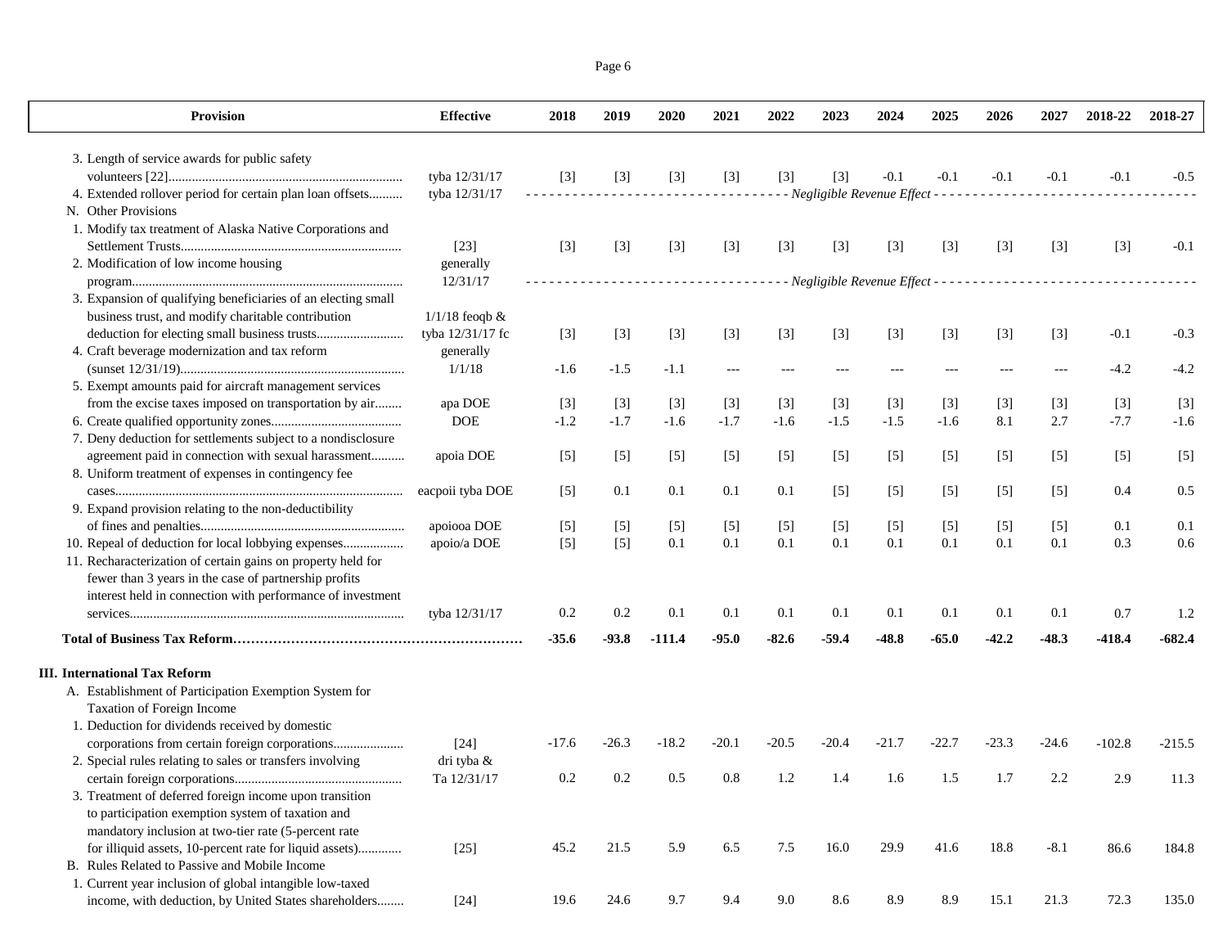Page 6

| Provision                                                     | <b>Effective</b>    | 2018    | 2019    | 2020     | 2021    | 2022    | 2023                                              | 2024    | 2025    | 2026    | 2027    | 2018-22  | 2018-27  |
|---------------------------------------------------------------|---------------------|---------|---------|----------|---------|---------|---------------------------------------------------|---------|---------|---------|---------|----------|----------|
| 3. Length of service awards for public safety                 |                     |         |         |          |         |         |                                                   |         |         |         |         |          |          |
|                                                               | tyba 12/31/17       | $[3]$   | $[3]$   | $[3]$    | $[3]$   | $[3]$   | $[3]$                                             | $-0.1$  | $-0.1$  | $-0.1$  | $-0.1$  | $-0.1$   | $-0.5$   |
| 4. Extended rollover period for certain plan loan offsets     | tyba 12/31/17       |         |         |          |         |         | - Negligible Revenue Effect - - - - - - - - - - - |         |         |         |         |          |          |
| N. Other Provisions                                           |                     |         |         |          |         |         |                                                   |         |         |         |         |          |          |
| 1. Modify tax treatment of Alaska Native Corporations and     |                     |         |         |          |         |         |                                                   |         |         |         |         |          |          |
|                                                               | $[23]$              | $[3]$   | $[3]$   | $[3]$    | $[3]$   | $[3]$   | $[3]$                                             | $[3]$   | $[3]$   | $[3]$   | $[3]$   | $[3]$    | $-0.1$   |
| 2. Modification of low income housing                         | generally           |         |         |          |         |         |                                                   |         |         |         |         |          |          |
|                                                               | 12/31/17            |         |         |          | .       |         |                                                   |         |         |         |         |          |          |
| 3. Expansion of qualifying beneficiaries of an electing small |                     |         |         |          |         |         |                                                   |         |         |         |         |          |          |
| business trust, and modify charitable contribution            | $1/1/18$ feoqb $\&$ |         |         |          |         |         |                                                   |         |         |         |         |          |          |
|                                                               | tyba 12/31/17 fc    | $[3]$   | $[3]$   | $[3]$    | $[3]$   | $[3]$   | $[3]$                                             | $[3]$   | $[3]$   | $[3]$   | $[3]$   | $-0.1$   | $-0.3$   |
| 4. Craft beverage modernization and tax reform                | generally           |         |         |          |         |         |                                                   |         |         |         |         |          |          |
|                                                               | 1/1/18              | $-1.6$  | $-1.5$  | $-1.1$   |         |         |                                                   |         |         |         |         | $-4.2$   | $-4.2$   |
| 5. Exempt amounts paid for aircraft management services       |                     |         |         |          |         |         |                                                   |         |         |         |         |          |          |
| from the excise taxes imposed on transportation by air        | apa DOE             | $[3]$   | $[3]$   | $[3]$    | $[3]$   | $[3]$   | $[3]$                                             | $[3]$   | $[3]$   | $[3]$   | $[3]$   | $[3]$    | $[3]$    |
|                                                               | <b>DOE</b>          | $-1.2$  | $-1.7$  | $-1.6$   | $-1.7$  | $-1.6$  | $-1.5$                                            | $-1.5$  | $-1.6$  | 8.1     | 2.7     | $-7.7$   | $-1.6$   |
| 7. Deny deduction for settlements subject to a nondisclosure  |                     |         |         |          |         |         |                                                   |         |         |         |         |          |          |
| agreement paid in connection with sexual harassment           | apoia DOE           | $[5]$   | $[5]$   | $[5]$    | $[5]$   | $[5]$   | $[5]$                                             | $[5]$   | $[5]$   | $[5]$   | $[5]$   | $[5]$    | $[5]$    |
| 8. Uniform treatment of expenses in contingency fee           |                     |         |         |          |         |         |                                                   |         |         |         |         |          |          |
|                                                               | eacpoii tyba DOE    | $[5]$   | 0.1     | 0.1      | 0.1     | 0.1     | $[5]$                                             | $[5]$   | $[5]$   | $[5]$   | $[5]$   | 0.4      | 0.5      |
| 9. Expand provision relating to the non-deductibility         |                     |         |         |          |         |         |                                                   |         |         |         |         |          |          |
|                                                               | apoiooa DOE         | $[5]$   | $[5]$   | $[5]$    | $[5]$   | $[5]$   | $[5]$                                             | $[5]$   | $[5]$   | $[5]$   | $[5]$   | 0.1      | 0.1      |
| 10. Repeal of deduction for local lobbying expenses           | apoio/a DOE         | $[5]$   | $[5]$   | 0.1      | 0.1     | 0.1     | 0.1                                               | 0.1     | 0.1     | 0.1     | 0.1     | 0.3      | 0.6      |
| 11. Recharacterization of certain gains on property held for  |                     |         |         |          |         |         |                                                   |         |         |         |         |          |          |
| fewer than 3 years in the case of partnership profits         |                     |         |         |          |         |         |                                                   |         |         |         |         |          |          |
| interest held in connection with performance of investment    |                     |         |         |          |         |         |                                                   |         |         |         |         |          |          |
|                                                               | tyba 12/31/17       | 0.2     | 0.2     | 0.1      | 0.1     | 0.1     | 0.1                                               | 0.1     | 0.1     | 0.1     | 0.1     | 0.7      | 1.2      |
|                                                               |                     | $-35.6$ | $-93.8$ | $-111.4$ | $-95.0$ | $-82.6$ | $-59.4$                                           | $-48.8$ | $-65.0$ | $-42.2$ | $-48.3$ | $-418.4$ | $-682.4$ |
| <b>III.</b> International Tax Reform                          |                     |         |         |          |         |         |                                                   |         |         |         |         |          |          |
| A. Establishment of Participation Exemption System for        |                     |         |         |          |         |         |                                                   |         |         |         |         |          |          |
| Taxation of Foreign Income                                    |                     |         |         |          |         |         |                                                   |         |         |         |         |          |          |
| 1. Deduction for dividends received by domestic               |                     |         |         |          |         |         |                                                   |         |         |         |         |          |          |
|                                                               | $[24]$              | $-17.6$ | $-26.3$ | $-18.2$  | $-20.1$ | $-20.5$ | $-20.4$                                           | $-21.7$ | -22.7   | $-23.3$ | $-24.6$ | $-102.8$ | $-215.5$ |
| 2. Special rules relating to sales or transfers involving     | dri tyba &          |         |         |          |         |         |                                                   |         |         |         |         |          |          |
|                                                               | Ta 12/31/17         | 0.2     | 0.2     | 0.5      | 0.8     | 1.2     | 1.4                                               | 1.6     | 1.5     | 1.7     | 2.2     | 2.9      | 11.3     |
| 3. Treatment of deferred foreign income upon transition       |                     |         |         |          |         |         |                                                   |         |         |         |         |          |          |
| to participation exemption system of taxation and             |                     |         |         |          |         |         |                                                   |         |         |         |         |          |          |
| mandatory inclusion at two-tier rate (5-percent rate          |                     |         |         |          |         |         |                                                   |         |         |         |         |          |          |
| for illiquid assets, 10-percent rate for liquid assets)       | $[25]$              | 45.2    | 21.5    | 5.9      | 6.5     | 7.5     | 16.0                                              | 29.9    | 41.6    | 18.8    | $-8.1$  | 86.6     | 184.8    |
| B. Rules Related to Passive and Mobile Income                 |                     |         |         |          |         |         |                                                   |         |         |         |         |          |          |
| 1. Current year inclusion of global intangible low-taxed      |                     |         |         |          |         |         |                                                   |         |         |         |         |          |          |
| income, with deduction, by United States shareholders         | $[24]$              | 19.6    | 24.6    | 9.7      | 9.4     | 9.0     | 8.6                                               | 8.9     | 8.9     | 15.1    | 21.3    | 72.3     | 135.0    |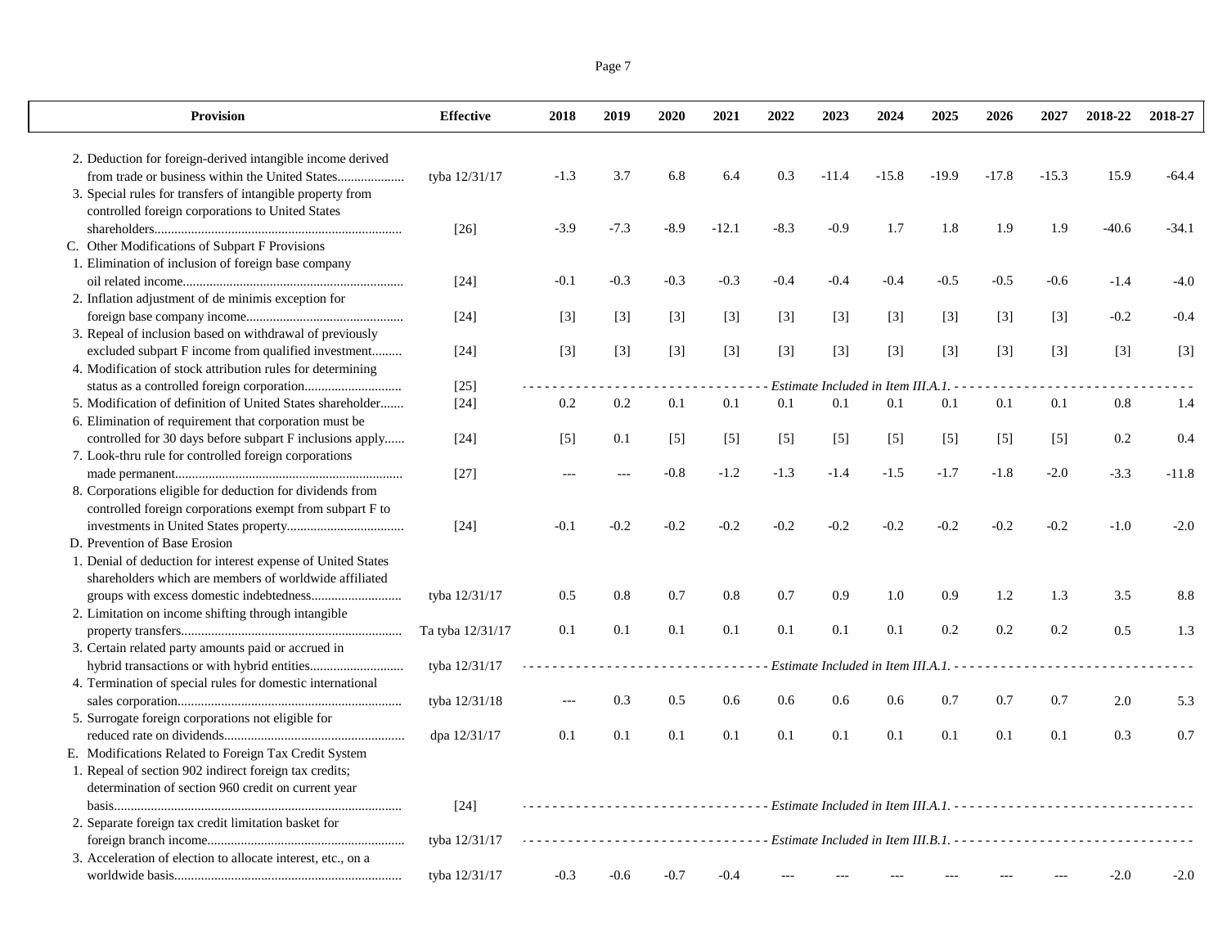| <b>Provision</b>                                             | <b>Effective</b> | 2018   | 2019   | 2020   | 2021    | 2022   | 2023                                 | 2024    | 2025    | 2026    | 2027    | 2018-22                                                                                 | 2018-27 |
|--------------------------------------------------------------|------------------|--------|--------|--------|---------|--------|--------------------------------------|---------|---------|---------|---------|-----------------------------------------------------------------------------------------|---------|
| 2. Deduction for foreign-derived intangible income derived   |                  |        |        |        |         |        |                                      |         |         |         |         |                                                                                         |         |
| from trade or business within the United States              | tyba 12/31/17    | $-1.3$ | 3.7    | 6.8    | 6.4     | 0.3    | $-11.4$                              | $-15.8$ | $-19.9$ | $-17.8$ | $-15.3$ | 15.9                                                                                    | $-64.4$ |
| 3. Special rules for transfers of intangible property from   |                  |        |        |        |         |        |                                      |         |         |         |         |                                                                                         |         |
| controlled foreign corporations to United States             |                  |        |        |        |         |        |                                      |         |         |         |         |                                                                                         |         |
|                                                              | $[26]$           | $-3.9$ | $-7.3$ | $-8.9$ | $-12.1$ | $-8.3$ | $-0.9$                               | 1.7     | 1.8     | 1.9     | 1.9     | $-40.6$                                                                                 | $-34.1$ |
| C. Other Modifications of Subpart F Provisions               |                  |        |        |        |         |        |                                      |         |         |         |         |                                                                                         |         |
| 1. Elimination of inclusion of foreign base company          |                  |        |        |        |         |        |                                      |         |         |         |         |                                                                                         |         |
|                                                              | $[24]$           | $-0.1$ | $-0.3$ | $-0.3$ | $-0.3$  | $-0.4$ | $-0.4$                               | $-0.4$  | $-0.5$  | $-0.5$  | $-0.6$  | $-1.4$                                                                                  | $-4.0$  |
| 2. Inflation adjustment of de minimis exception for          |                  |        |        |        |         |        |                                      |         |         |         |         |                                                                                         |         |
|                                                              | $[24]$           | $[3]$  | $[3]$  | $[3]$  | $[3]$   | $[3]$  | $[3]$                                | $[3]$   | $[3]$   | $[3]$   | $[3]$   | $-0.2$                                                                                  | $-0.4$  |
| 3. Repeal of inclusion based on withdrawal of previously     |                  |        |        |        |         |        |                                      |         |         |         |         |                                                                                         |         |
| excluded subpart F income from qualified investment          | $[24]$           | $[3]$  | $[3]$  | $[3]$  | $[3]$   | $[3]$  | $[3]$                                | $[3]$   | $[3]$   | $[3]$   | $[3]$   | $[3]$                                                                                   | $[3]$   |
| 4. Modification of stock attribution rules for determining   |                  |        |        |        |         |        |                                      |         |         |         |         |                                                                                         |         |
|                                                              | $[25]$           |        |        |        |         |        | Estimate Included in Item III.A.1. - |         |         |         |         |                                                                                         |         |
| 5. Modification of definition of United States shareholder   | $[24]$           | 0.2    | 0.2    | 0.1    | 0.1     | 0.1    | 0.1                                  | 0.1     | 0.1     | 0.1     | 0.1     | 0.8                                                                                     | 1.4     |
| 6. Elimination of requirement that corporation must be       |                  |        |        |        |         |        |                                      |         |         |         |         |                                                                                         |         |
| controlled for 30 days before subpart F inclusions apply     | $[24]$           | $[5]$  | 0.1    | $[5]$  | $[5]$   | $[5]$  | $[5]$                                | $[5]$   | $[5]$   | $[5]$   | $[5]$   | 0.2                                                                                     | 0.4     |
| 7. Look-thru rule for controlled foreign corporations        |                  |        |        |        |         |        |                                      |         |         |         |         |                                                                                         |         |
|                                                              | $[27]$           | $-$    | $-$    | $-0.8$ | $-1.2$  | $-1.3$ | $-1.4$                               | $-1.5$  | $-1.7$  | $-1.8$  | $-2.0$  | $-3.3$                                                                                  | $-11.8$ |
| 8. Corporations eligible for deduction for dividends from    |                  |        |        |        |         |        |                                      |         |         |         |         |                                                                                         |         |
| controlled foreign corporations exempt from subpart F to     |                  |        |        |        |         |        |                                      |         |         |         |         |                                                                                         |         |
|                                                              | $[24]$           | $-0.1$ | $-0.2$ | $-0.2$ | $-0.2$  | $-0.2$ | $-0.2$                               | $-0.2$  | $-0.2$  | $-0.2$  | $-0.2$  | $-1.0$                                                                                  | $-2.0$  |
| D. Prevention of Base Erosion                                |                  |        |        |        |         |        |                                      |         |         |         |         |                                                                                         |         |
| 1. Denial of deduction for interest expense of United States |                  |        |        |        |         |        |                                      |         |         |         |         |                                                                                         |         |
| shareholders which are members of worldwide affiliated       |                  |        |        |        |         |        |                                      |         |         |         |         |                                                                                         |         |
|                                                              | tyba 12/31/17    | 0.5    | 0.8    | 0.7    | 0.8     | 0.7    | 0.9                                  | 1.0     | 0.9     | $1.2\,$ | 1.3     | 3.5                                                                                     | 8.8     |
| 2. Limitation on income shifting through intangible          |                  |        |        |        |         |        |                                      |         |         |         |         |                                                                                         |         |
|                                                              | Ta tyba 12/31/17 | 0.1    | 0.1    | 0.1    | 0.1     | 0.1    | 0.1                                  | 0.1     | 0.2     | 0.2     | 0.2     | 0.5                                                                                     | 1.3     |
| 3. Certain related party amounts paid or accrued in          |                  |        |        |        |         |        |                                      |         |         |         |         |                                                                                         |         |
|                                                              | tyba 12/31/17    |        |        |        |         |        |                                      |         |         |         |         | Estimate Included in Item III.A.1. ------------------------------                       |         |
| 4. Termination of special rules for domestic international   |                  |        |        |        |         |        |                                      |         |         |         |         |                                                                                         |         |
|                                                              | tyba 12/31/18    |        | 0.3    | 0.5    | 0.6     | 0.6    | 0.6                                  | 0.6     | 0.7     | 0.7     | 0.7     | 2.0                                                                                     | 5.3     |
| 5. Surrogate foreign corporations not eligible for           |                  |        |        |        |         |        |                                      |         |         |         |         |                                                                                         |         |
|                                                              | dpa 12/31/17     | 0.1    | 0.1    | 0.1    | 0.1     | 0.1    | 0.1                                  | 0.1     | 0.1     | 0.1     | 0.1     | 0.3                                                                                     | 0.7     |
| E. Modifications Related to Foreign Tax Credit System        |                  |        |        |        |         |        |                                      |         |         |         |         |                                                                                         |         |
| 1. Repeal of section 902 indirect foreign tax credits;       |                  |        |        |        |         |        |                                      |         |         |         |         |                                                                                         |         |
| determination of section 960 credit on current year          |                  |        |        |        |         |        |                                      |         |         |         |         |                                                                                         |         |
|                                                              | $[24]$           |        |        |        |         |        |                                      |         |         |         |         | ------------------- Estimate Included in Item III.A.1. -------------------------------- |         |
| 2. Separate foreign tax credit limitation basket for         |                  |        |        |        |         |        |                                      |         |         |         |         |                                                                                         |         |
|                                                              | tyba 12/31/17    |        |        |        |         |        |                                      |         |         |         |         | ------------Estimate Included in Item III.B.1. --------------------------------         |         |
| 3. Acceleration of election to allocate interest, etc., on a |                  |        |        |        |         |        |                                      |         |         |         |         |                                                                                         |         |
|                                                              | tyba 12/31/17    | $-0.3$ | $-0.6$ | $-0.7$ | $-0.4$  |        |                                      |         |         |         |         | $-2.0$                                                                                  | $-2.0$  |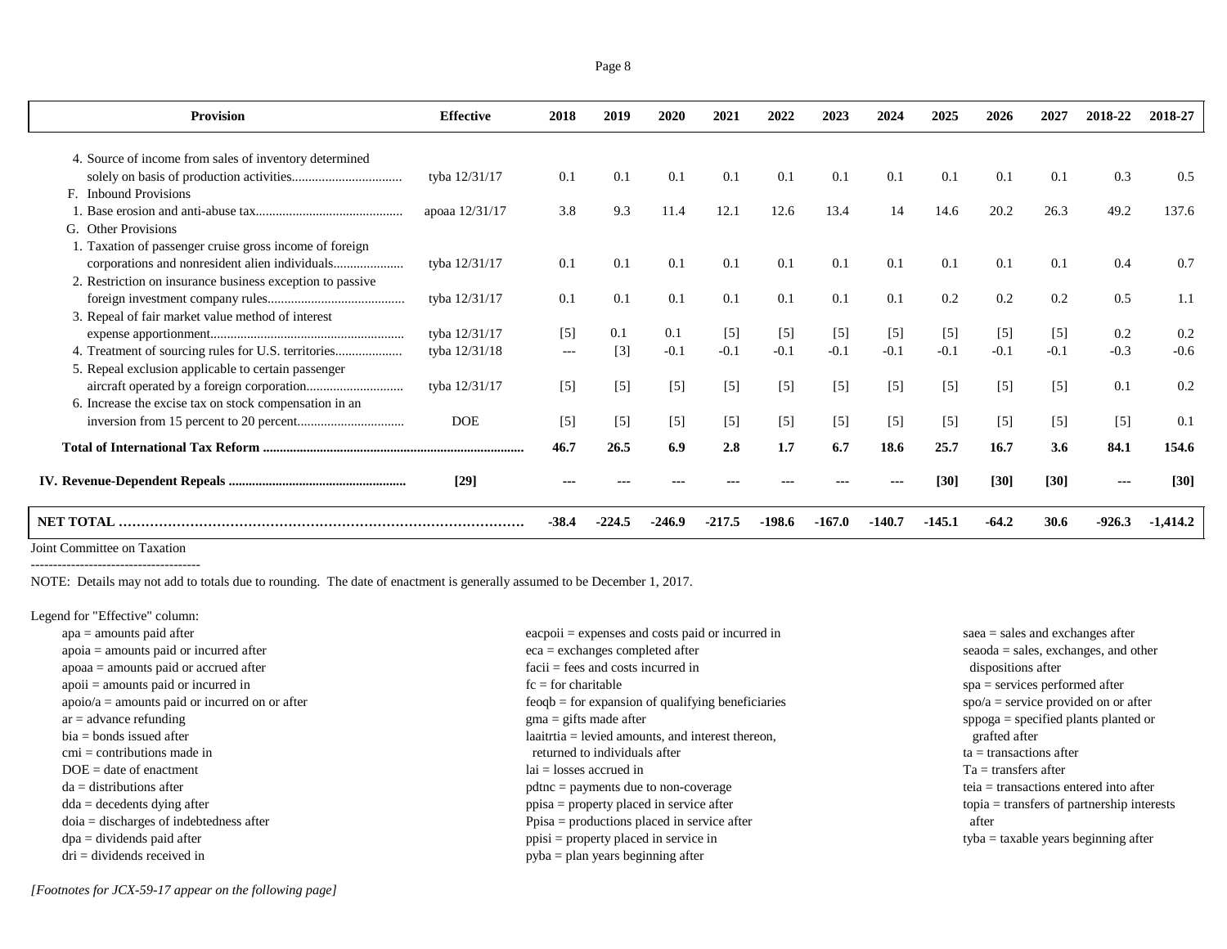| <b>Effective</b> | 2018                                                              | 2019                             | 2020                             | 2021                             | 2022                             | 2023                             | 2024                             | 2025                            | 2026                              | 2027                              | 2018-22                          | 2018-27                           |
|------------------|-------------------------------------------------------------------|----------------------------------|----------------------------------|----------------------------------|----------------------------------|----------------------------------|----------------------------------|---------------------------------|-----------------------------------|-----------------------------------|----------------------------------|-----------------------------------|
|                  |                                                                   |                                  |                                  |                                  |                                  |                                  |                                  |                                 |                                   |                                   |                                  |                                   |
|                  |                                                                   |                                  |                                  |                                  |                                  |                                  |                                  |                                 |                                   |                                   |                                  | 0.5                               |
|                  |                                                                   |                                  |                                  |                                  |                                  |                                  |                                  |                                 |                                   |                                   |                                  |                                   |
|                  |                                                                   |                                  |                                  |                                  |                                  |                                  |                                  |                                 |                                   |                                   |                                  | 137.6                             |
|                  |                                                                   |                                  |                                  |                                  |                                  |                                  |                                  |                                 |                                   |                                   |                                  |                                   |
|                  |                                                                   |                                  |                                  |                                  |                                  |                                  |                                  |                                 |                                   |                                   |                                  |                                   |
|                  |                                                                   |                                  |                                  |                                  |                                  |                                  |                                  |                                 |                                   |                                   |                                  |                                   |
|                  |                                                                   |                                  |                                  |                                  |                                  |                                  |                                  |                                 |                                   |                                   |                                  | 0.7                               |
|                  |                                                                   |                                  |                                  |                                  |                                  |                                  |                                  |                                 |                                   |                                   |                                  |                                   |
|                  |                                                                   |                                  |                                  |                                  |                                  |                                  |                                  |                                 |                                   |                                   |                                  | 1.1                               |
|                  |                                                                   |                                  |                                  |                                  |                                  |                                  |                                  |                                 |                                   |                                   |                                  |                                   |
| tyba 12/31/17    | $[5]$                                                             | 0.1                              | 0.1                              | $\lceil 5 \rceil$                | $\lceil 5 \rceil$                | $\lceil 5 \rceil$                | $\lceil 5 \rceil$                | [5]                             | [5]                               | $\lceil 5 \rceil$                 | 0.2                              | 0.2                               |
| tyba 12/31/18    | $---$                                                             | $\lceil 3 \rceil$                | $-0.1$                           | $-0.1$                           | $-0.1$                           | $-0.1$                           | $-0.1$                           | $-0.1$                          | $-0.1$                            | $-0.1$                            | $-0.3$                           | $-0.6$                            |
|                  |                                                                   |                                  |                                  |                                  |                                  |                                  |                                  |                                 |                                   |                                   |                                  |                                   |
| tyba 12/31/17    | $[5]$                                                             | $[5]$                            | $[5]$                            | $[5]$                            | $[5]$                            | $\lceil 5 \rceil$                | $\lceil 5 \rceil$                | $[5]$                           | $[5]$                             | $\lceil 5 \rceil$                 | 0.1                              | 0.2                               |
|                  |                                                                   |                                  |                                  |                                  |                                  |                                  |                                  |                                 |                                   |                                   |                                  |                                   |
| <b>DOE</b>       | $[5]$                                                             | $[5]$                            | $[5]$                            | $[5]$                            | $\lceil 5 \rceil$                | $\lceil 5 \rceil$                | $\lceil 5 \rceil$                | $\lceil 5 \rceil$               | $\lceil 5 \rceil$                 | $\lceil 5 \rceil$                 | $[5]$                            | 0.1                               |
|                  |                                                                   |                                  |                                  |                                  |                                  |                                  |                                  |                                 |                                   |                                   |                                  |                                   |
|                  |                                                                   |                                  |                                  |                                  |                                  |                                  |                                  |                                 |                                   |                                   |                                  | 154.6                             |
| [29]             |                                                                   |                                  |                                  |                                  |                                  |                                  |                                  | [30]                            | [30]                              | [30]                              | ---                              | [30]                              |
|                  | $-38.4$                                                           | -224.5                           | -246.9                           | $-217.5$                         | -198.6                           | -167.0                           | -140.7                           | $-145.1$                        | $-64.2$                           | 30.6                              | $-926.3$                         | -1,414.2                          |
|                  | tyba 12/31/17<br>apoaa 12/31/17<br>tyba 12/31/17<br>tyba 12/31/17 | 0.1<br>3.8<br>0.1<br>0.1<br>46.7 | 0.1<br>9.3<br>0.1<br>0.1<br>26.5 | 0.1<br>11.4<br>0.1<br>0.1<br>6.9 | 0.1<br>12.1<br>0.1<br>0.1<br>2.8 | 0.1<br>12.6<br>0.1<br>0.1<br>1.7 | 0.1<br>13.4<br>0.1<br>0.1<br>6.7 | 0.1<br>14<br>0.1<br>0.1<br>18.6 | 0.1<br>14.6<br>0.1<br>0.2<br>25.7 | 0.1<br>20.2<br>0.1<br>0.2<br>16.7 | 0.1<br>26.3<br>0.1<br>0.2<br>3.6 | 0.3<br>49.2<br>0.4<br>0.5<br>84.1 |

Joint Committee on Taxation --------------------------------------

NOTE: Details may not add to totals due to rounding. The date of enactment is generally assumed to be December 1, 2017.

Legend for "Effective" column:

| $apa = amounts paid after$                       | $\alpha$ eacpoii = expenses and costs paid or incurred in | $saea = sales$ and exchanges after                  |
|--------------------------------------------------|-----------------------------------------------------------|-----------------------------------------------------|
| $apoia = amounts paid or incurred after$         | $eca =$ exchanges completed after                         | $seaoda = sales, exchange, and other$               |
| $apoaa = amounts$ paid or accrued after          | $facii = fees$ and costs incurred in                      | dispositions after                                  |
| $apoii = amounts paid or incurred in$            | $fc = for$ charitable                                     | $spa =$ services performed after                    |
| $apoio/a = amounts paid or incurred on or after$ | $feogb = for expansion of qualifying beneficialries$      | $spo/a =$ service provided on or after              |
| $ar = advance$ refunding                         | $\text{g}$ ma = gifts made after                          | $\text{sppoga} = \text{specified plants planted}$   |
| $bia = bonds$ issued after                       | $laairtia = levied amounts, and interest thereon,$        | grafted after                                       |
| $cmi =$ contributions made in                    | returned to individuals after                             | $ta =$ transactions after                           |
| $DOE = date of enactment$                        | $lai = losses$ accrued in                                 | $Ta =$ transfers after                              |
| $da =$ distributions after                       | $pdtnc = payments due to non-coverage$                    | $teia = transactions$ entered into after            |
| $dda = decedents$ dying after                    | ppisa = property placed in service after                  | $topia = \text{transfers of partnership interests}$ |
| $doia = discharges of indebtedness after$        | $Ppisa = productions placed in service after$             | after                                               |
| $dpa = \text{dividends paid after}$              | $ppisi = property placed in service in$                   | $t$ <sub>v</sub> ba = taxable years beginning after |
| $dri = \text{dividends received in}$             | $pyba = plan$ years beginning after                       |                                                     |
|                                                  |                                                           |                                                     |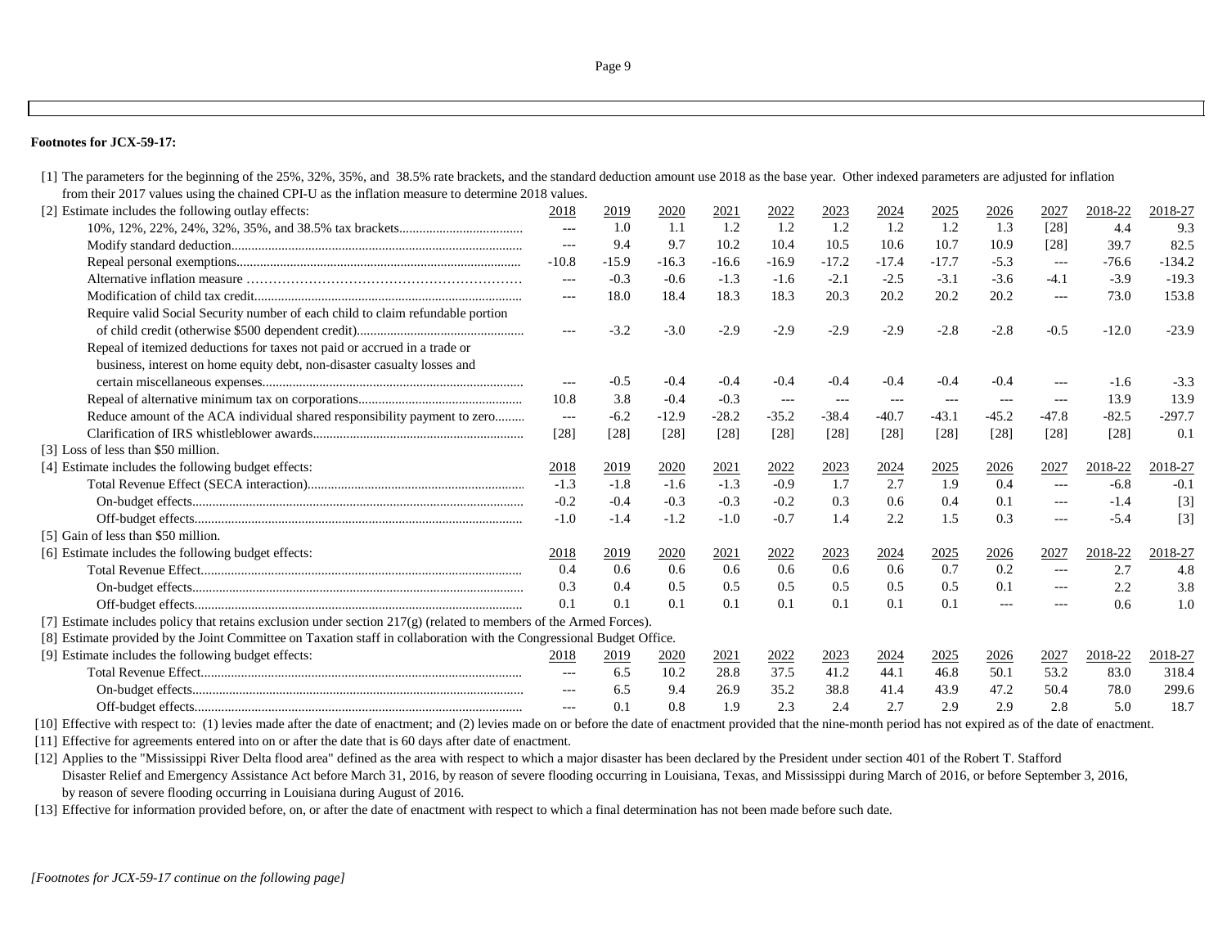## **Footnotes for JCX-59-17:**

| [1] The parameters for the beginning of the 25%, 32%, 35%, and 38.5% rate brackets, and the standard deduction amount use 2018 as the base year. Other indexed parameters are adjusted for inflation |                   |         |         |         |                                             |                      |                          |         |                   |                     |         |          |
|------------------------------------------------------------------------------------------------------------------------------------------------------------------------------------------------------|-------------------|---------|---------|---------|---------------------------------------------|----------------------|--------------------------|---------|-------------------|---------------------|---------|----------|
| from their 2017 values using the chained CPI-U as the inflation measure to determine 2018 values.                                                                                                    |                   |         |         |         |                                             |                      |                          |         |                   |                     |         |          |
| [2] Estimate includes the following outlay effects:                                                                                                                                                  | 2018              | 2019    | 2020    | 2021    | 2022                                        | 2023                 | 2024                     | 2025    | 2026              | 2027                | 2018-22 | 2018-27  |
|                                                                                                                                                                                                      | $---$             | 1.0     | 1.1     | 1.2     | 1.2                                         | 1.2                  | 1.2                      | 1.2     | 1.3               | $[28]$              | 4.4     | 9.3      |
|                                                                                                                                                                                                      | $\qquad \qquad -$ | 9.4     | 9.7     | 10.2    | 10.4                                        | 10.5                 | 10.6                     | 10.7    | 10.9              | $[28]$              | 39.7    | 82.5     |
|                                                                                                                                                                                                      | $-10.8$           | $-15.9$ | $-16.3$ | $-16.6$ | $-16.9$                                     | $-17.2$              | $-17.4$                  | $-17.7$ | $-5.3$            | $---$               | $-76.6$ | $-134.2$ |
|                                                                                                                                                                                                      | $---$             | $-0.3$  | $-0.6$  | $-1.3$  | $-1.6$                                      | $-2.1$               | $-2.5$                   | $-3.1$  | $-3.6$            | $-4.1$              | $-3.9$  | $-19.3$  |
|                                                                                                                                                                                                      | $---$             | 18.0    | 18.4    | 18.3    | 18.3                                        | 20.3                 | 20.2                     | 20.2    | 20.2              | $---$               | 73.0    | 153.8    |
| Require valid Social Security number of each child to claim refundable portion                                                                                                                       |                   |         |         |         |                                             |                      |                          |         |                   |                     |         |          |
|                                                                                                                                                                                                      | $---$             | $-3.2$  | $-3.0$  | $-2.9$  | $-2.9$                                      | $-2.9$               | $-2.9$                   | $-2.8$  | $-2.8$            | $-0.5$              | $-12.0$ | $-23.9$  |
| Repeal of itemized deductions for taxes not paid or accrued in a trade or                                                                                                                            |                   |         |         |         |                                             |                      |                          |         |                   |                     |         |          |
| business, interest on home equity debt, non-disaster casualty losses and                                                                                                                             |                   |         |         |         |                                             |                      |                          |         |                   |                     |         |          |
|                                                                                                                                                                                                      | ---               | $-0.5$  | $-0.4$  | $-0.4$  | $-0.4$                                      | $-0.4$               | $-0.4$                   | $-0.4$  | $-0.4$            | $---$               | $-1.6$  | $-3.3$   |
|                                                                                                                                                                                                      | 10.8              | 3.8     | $-0.4$  | $-0.3$  | $\scriptstyle \cdots$ $\scriptstyle \cdots$ | $\sim$ $\sim$ $\sim$ | $\hspace{0.05cm} \ldots$ | $---$   | $  -$             | $---$               | 13.9    | 13.9     |
| Reduce amount of the ACA individual shared responsibility payment to zero                                                                                                                            | $  -$             | $-6.2$  | $-12.9$ | $-28.2$ | $-35.2$                                     | $-38.4$              | $-40.7$                  | $-43.1$ | $-45.2$           | $-47.8$             | $-82.5$ | $-297.7$ |
|                                                                                                                                                                                                      | [28]              | $[28]$  | [28]    | $[28]$  | [28]                                        | [28]                 | $[28]$                   | [28]    | [28]              | [28]                | $[28]$  | 0.1      |
| [3] Loss of less than \$50 million.                                                                                                                                                                  |                   |         |         |         |                                             |                      |                          |         |                   |                     |         |          |
| [4] Estimate includes the following budget effects:                                                                                                                                                  | 2018              | 2019    | 2020    | 2021    | 2022                                        | 2023                 | 2024                     | 2025    | 2026              | 2027                | 2018-22 | 2018-27  |
|                                                                                                                                                                                                      | $-1.3$            | $-1.8$  | $-1.6$  | $-1.3$  | $-0.9$                                      | 1.7                  | 2.7                      | 1.9     | 0.4               | $---$               | $-6.8$  | $-0.1$   |
|                                                                                                                                                                                                      | $-0.2$            | $-0.4$  | $-0.3$  | $-0.3$  | $-0.2$                                      | 0.3                  | 0.6                      | 0.4     | 0.1               | $\qquad \qquad - -$ | $-1.4$  | $[3]$    |
|                                                                                                                                                                                                      | $-1.0$            | $-1.4$  | $-1.2$  | $-1.0$  | $-0.7$                                      | 1.4                  | 2.2                      | 1.5     | 0.3               | $---$               | $-5.4$  | $[3]$    |
| [5] Gain of less than \$50 million.                                                                                                                                                                  |                   |         |         |         |                                             |                      |                          |         |                   |                     |         |          |
| [6] Estimate includes the following budget effects:                                                                                                                                                  | 2018              | 2019    | 2020    | 2021    | 2022                                        | 2023                 | <u>2024</u>              | 2025    | 2026              | 2027                | 2018-22 | 2018-27  |
|                                                                                                                                                                                                      | 0.4               | 0.6     | 0.6     | 0.6     | 0.6                                         | 0.6                  | 0.6                      | 0.7     | 0.2               | $---$               | 2.7     | 4.8      |
|                                                                                                                                                                                                      | 0.3               | 0.4     | 0.5     | 0.5     | 0.5                                         | 0.5                  | 0.5                      | 0.5     | 0.1               | $---$               | 2.2     | 3.8      |
|                                                                                                                                                                                                      | 0.1               | 0.1     | 0.1     | 0.1     | 0.1                                         | 0.1                  | 0.1                      | 0.1     | $\qquad \qquad -$ |                     | 0.6     | 1.0      |
| [7] Estimate includes policy that retains exclusion under section $217(g)$ (related to members of the Armed Forces).                                                                                 |                   |         |         |         |                                             |                      |                          |         |                   |                     |         |          |
| [8] Estimate provided by the Joint Committee on Taxation staff in collaboration with the Congressional Budget Office.                                                                                |                   |         |         |         |                                             |                      |                          |         |                   |                     |         |          |
| [9] Estimate includes the following budget effects:                                                                                                                                                  | 2018              | 2019    | 2020    | 2021    | 2022                                        | 2023                 | 2024                     | 2025    | 2026              | 2027                | 2018-22 | 2018-27  |
|                                                                                                                                                                                                      | $---$             | 6.5     | 10.2    | 28.8    | 37.5                                        | 41.2                 | 44.1                     | 46.8    | 50.1              | 53.2                | 83.0    | 318.4    |
|                                                                                                                                                                                                      | $---$             | 6.5     | 9.4     | 26.9    | 35.2                                        | 38.8                 | 41.4                     | 43.9    | 47.2              | 50.4                | 78.0    | 299.6    |
|                                                                                                                                                                                                      |                   | 0.1     | 0.8     | 1.9     | 2.3                                         | 2.4                  | 2.7                      | 2.9     | 2.9               | 2.8                 | 5.0     | 18.7     |

[10] Effective with respect to: (1) levies made after the date of enactment; and (2) levies made on or before the date of enactment provided that the nine-month period has not expired as of the date of enactment.

[11] Effective for agreements entered into on or after the date that is 60 days after date of enactment.

[12] Applies to the "Mississippi River Delta flood area" defined as the area with respect to which a major disaster has been declared by the President under section 401 of the Robert T. Stafford Disaster Relief and Emergency Assistance Act before March 31, 2016, by reason of severe flooding occurring in Louisiana, Texas, and Mississippi during March of 2016, or before September 3, 2016, by reason of severe flooding occurring in Louisiana during August of 2016.

[13] Effective for information provided before, on, or after the date of enactment with respect to which a final determination has not been made before such date.